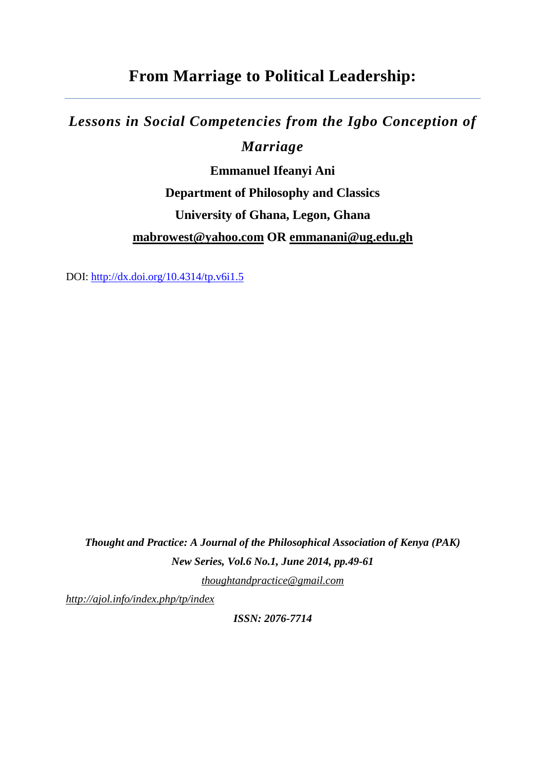# **From Marriage to Political Leadership:**

*Lessons in Social Competencies from the Igbo Conception of* 

## *Marriage*

**Emmanuel Ifeanyi Ani Department of Philosophy and Classics University of Ghana, Legon, Ghana mabrowest@yahoo.com OR emmanani@ug.edu.gh** 

DOI: http://dx.doi.org/10.4314/tp.v6i1.5

*Thought and Practice: A Journal of the Philosophical Association of Kenya (PAK) New Series, Vol.6 No.1, June 2014, pp.49-61 thoughtandpractice@gmail.com*

*http://ajol.info/index.php/tp/index* 

*ISSN: 2076-7714*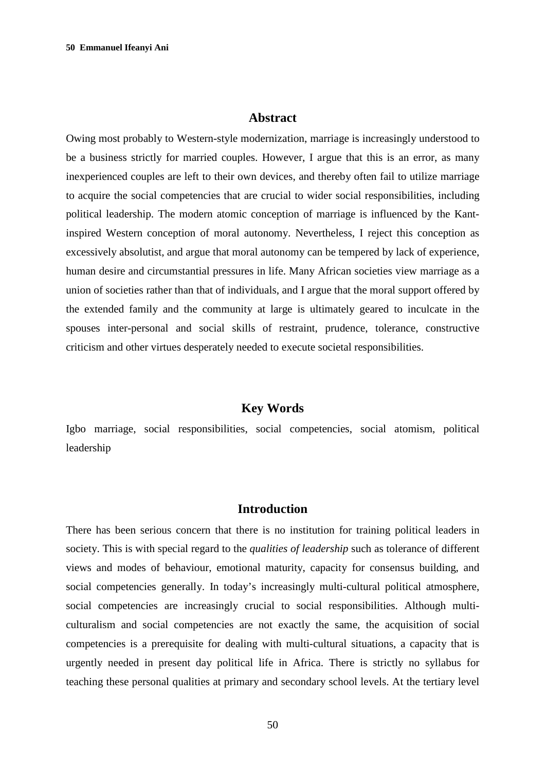## **Abstract**

Owing most probably to Western-style modernization, marriage is increasingly understood to be a business strictly for married couples. However, I argue that this is an error, as many inexperienced couples are left to their own devices, and thereby often fail to utilize marriage to acquire the social competencies that are crucial to wider social responsibilities, including political leadership. The modern atomic conception of marriage is influenced by the Kantinspired Western conception of moral autonomy. Nevertheless, I reject this conception as excessively absolutist, and argue that moral autonomy can be tempered by lack of experience, human desire and circumstantial pressures in life. Many African societies view marriage as a union of societies rather than that of individuals, and I argue that the moral support offered by the extended family and the community at large is ultimately geared to inculcate in the spouses inter-personal and social skills of restraint, prudence, tolerance, constructive criticism and other virtues desperately needed to execute societal responsibilities.

## **Key Words**

Igbo marriage, social responsibilities, social competencies, social atomism, political leadership

### **Introduction**

There has been serious concern that there is no institution for training political leaders in society. This is with special regard to the *qualities of leadership* such as tolerance of different views and modes of behaviour, emotional maturity, capacity for consensus building, and social competencies generally. In today's increasingly multi-cultural political atmosphere, social competencies are increasingly crucial to social responsibilities. Although multiculturalism and social competencies are not exactly the same, the acquisition of social competencies is a prerequisite for dealing with multi-cultural situations, a capacity that is urgently needed in present day political life in Africa. There is strictly no syllabus for teaching these personal qualities at primary and secondary school levels. At the tertiary level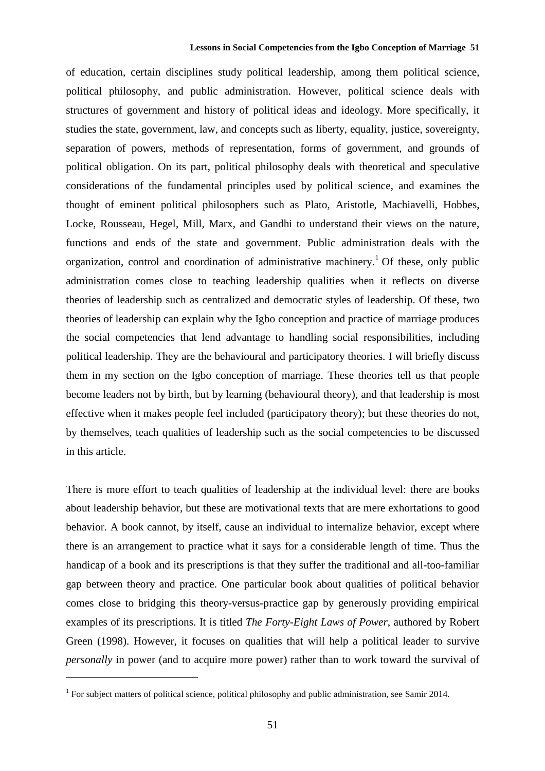#### **Lessons in Social Competencies from the Igbo Conception of Marriage 51**

of education, certain disciplines study political leadership, among them political science, political philosophy, and public administration. However, political science deals with structures of government and history of political ideas and ideology. More specifically, it studies the state, government, law, and concepts such as liberty, equality, justice, sovereignty, separation of powers, methods of representation, forms of government, and grounds of political obligation. On its part, political philosophy deals with theoretical and speculative considerations of the fundamental principles used by political science, and examines the thought of eminent political philosophers such as Plato, Aristotle, Machiavelli, Hobbes, Locke, Rousseau, Hegel, Mill, Marx, and Gandhi to understand their views on the nature, functions and ends of the state and government. Public administration deals with the organization, control and coordination of administrative machinery.<sup>1</sup> Of these, only public administration comes close to teaching leadership qualities when it reflects on diverse theories of leadership such as centralized and democratic styles of leadership. Of these, two theories of leadership can explain why the Igbo conception and practice of marriage produces the social competencies that lend advantage to handling social responsibilities, including political leadership. They are the behavioural and participatory theories. I will briefly discuss them in my section on the Igbo conception of marriage. These theories tell us that people become leaders not by birth, but by learning (behavioural theory), and that leadership is most effective when it makes people feel included (participatory theory); but these theories do not, by themselves, teach qualities of leadership such as the social competencies to be discussed in this article.

There is more effort to teach qualities of leadership at the individual level: there are books about leadership behavior, but these are motivational texts that are mere exhortations to good behavior. A book cannot, by itself, cause an individual to internalize behavior, except where there is an arrangement to practice what it says for a considerable length of time. Thus the handicap of a book and its prescriptions is that they suffer the traditional and all-too-familiar gap between theory and practice. One particular book about qualities of political behavior comes close to bridging this theory-versus-practice gap by generously providing empirical examples of its prescriptions. It is titled *The Forty-Eight Laws of Power*, authored by Robert Green (1998). However, it focuses on qualities that will help a political leader to survive *personally* in power (and to acquire more power) rather than to work toward the survival of

<sup>&</sup>lt;sup>1</sup> For subject matters of political science, political philosophy and public administration, see Samir 2014.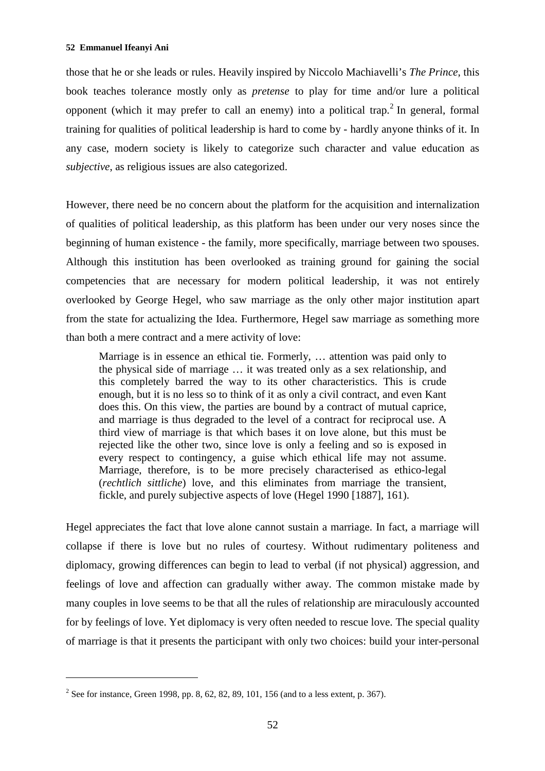those that he or she leads or rules. Heavily inspired by Niccolo Machiavelli's *The Prince*, this book teaches tolerance mostly only as *pretense* to play for time and/or lure a political opponent (which it may prefer to call an enemy) into a political trap.<sup>2</sup> In general, formal training for qualities of political leadership is hard to come by - hardly anyone thinks of it. In any case, modern society is likely to categorize such character and value education as *subjective*, as religious issues are also categorized.

However, there need be no concern about the platform for the acquisition and internalization of qualities of political leadership, as this platform has been under our very noses since the beginning of human existence - the family, more specifically, marriage between two spouses. Although this institution has been overlooked as training ground for gaining the social competencies that are necessary for modern political leadership, it was not entirely overlooked by George Hegel, who saw marriage as the only other major institution apart from the state for actualizing the Idea. Furthermore, Hegel saw marriage as something more than both a mere contract and a mere activity of love:

Marriage is in essence an ethical tie. Formerly, … attention was paid only to the physical side of marriage … it was treated only as a sex relationship, and this completely barred the way to its other characteristics. This is crude enough, but it is no less so to think of it as only a civil contract, and even Kant does this. On this view, the parties are bound by a contract of mutual caprice, and marriage is thus degraded to the level of a contract for reciprocal use. A third view of marriage is that which bases it on love alone, but this must be rejected like the other two, since love is only a feeling and so is exposed in every respect to contingency, a guise which ethical life may not assume. Marriage, therefore, is to be more precisely characterised as ethico-legal (*rechtlich sittliche*) love, and this eliminates from marriage the transient, fickle, and purely subjective aspects of love (Hegel 1990 [1887], 161).

Hegel appreciates the fact that love alone cannot sustain a marriage. In fact, a marriage will collapse if there is love but no rules of courtesy. Without rudimentary politeness and diplomacy, growing differences can begin to lead to verbal (if not physical) aggression, and feelings of love and affection can gradually wither away. The common mistake made by many couples in love seems to be that all the rules of relationship are miraculously accounted for by feelings of love. Yet diplomacy is very often needed to rescue love. The special quality of marriage is that it presents the participant with only two choices: build your inter-personal

<sup>&</sup>lt;sup>2</sup> See for instance, Green 1998, pp. 8, 62, 82, 89, 101, 156 (and to a less extent, p. 367).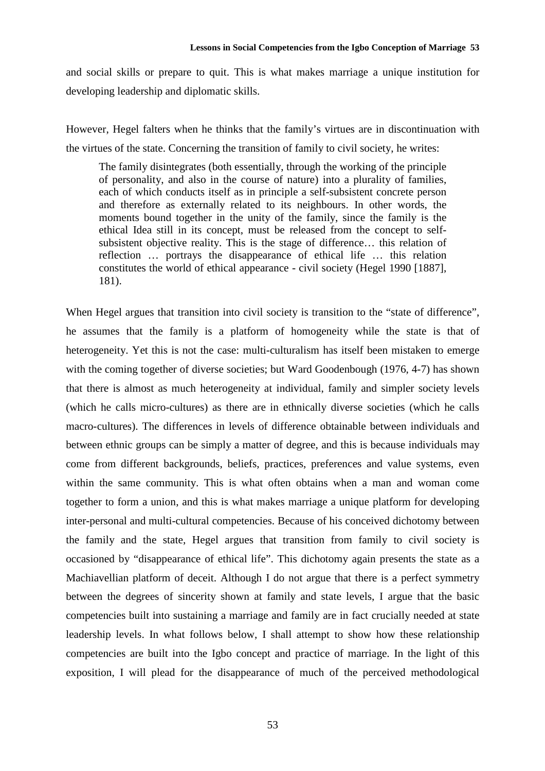and social skills or prepare to quit. This is what makes marriage a unique institution for developing leadership and diplomatic skills.

However, Hegel falters when he thinks that the family's virtues are in discontinuation with the virtues of the state. Concerning the transition of family to civil society, he writes:

The family disintegrates (both essentially, through the working of the principle of personality, and also in the course of nature) into a plurality of families, each of which conducts itself as in principle a self-subsistent concrete person and therefore as externally related to its neighbours. In other words, the moments bound together in the unity of the family, since the family is the ethical Idea still in its concept, must be released from the concept to selfsubsistent objective reality. This is the stage of difference… this relation of reflection … portrays the disappearance of ethical life … this relation constitutes the world of ethical appearance - civil society (Hegel 1990 [1887], 181).

When Hegel argues that transition into civil society is transition to the "state of difference", he assumes that the family is a platform of homogeneity while the state is that of heterogeneity. Yet this is not the case: multi-culturalism has itself been mistaken to emerge with the coming together of diverse societies; but Ward Goodenbough (1976, 4-7) has shown that there is almost as much heterogeneity at individual, family and simpler society levels (which he calls micro-cultures) as there are in ethnically diverse societies (which he calls macro-cultures). The differences in levels of difference obtainable between individuals and between ethnic groups can be simply a matter of degree, and this is because individuals may come from different backgrounds, beliefs, practices, preferences and value systems, even within the same community. This is what often obtains when a man and woman come together to form a union, and this is what makes marriage a unique platform for developing inter-personal and multi-cultural competencies. Because of his conceived dichotomy between the family and the state, Hegel argues that transition from family to civil society is occasioned by "disappearance of ethical life". This dichotomy again presents the state as a Machiavellian platform of deceit. Although I do not argue that there is a perfect symmetry between the degrees of sincerity shown at family and state levels, I argue that the basic competencies built into sustaining a marriage and family are in fact crucially needed at state leadership levels. In what follows below, I shall attempt to show how these relationship competencies are built into the Igbo concept and practice of marriage. In the light of this exposition, I will plead for the disappearance of much of the perceived methodological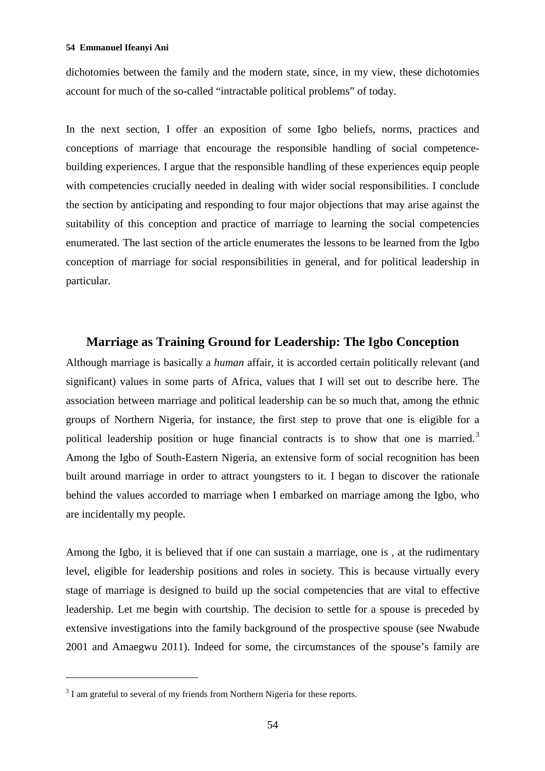dichotomies between the family and the modern state, since, in my view, these dichotomies account for much of the so-called "intractable political problems" of today.

In the next section, I offer an exposition of some Igbo beliefs, norms, practices and conceptions of marriage that encourage the responsible handling of social competencebuilding experiences. I argue that the responsible handling of these experiences equip people with competencies crucially needed in dealing with wider social responsibilities. I conclude the section by anticipating and responding to four major objections that may arise against the suitability of this conception and practice of marriage to learning the social competencies enumerated. The last section of the article enumerates the lessons to be learned from the Igbo conception of marriage for social responsibilities in general, and for political leadership in particular.

## **Marriage as Training Ground for Leadership: The Igbo Conception**

Although marriage is basically a *human* affair, it is accorded certain politically relevant (and significant) values in some parts of Africa, values that I will set out to describe here. The association between marriage and political leadership can be so much that, among the ethnic groups of Northern Nigeria, for instance, the first step to prove that one is eligible for a political leadership position or huge financial contracts is to show that one is married.<sup>3</sup> Among the Igbo of South-Eastern Nigeria, an extensive form of social recognition has been built around marriage in order to attract youngsters to it. I began to discover the rationale behind the values accorded to marriage when I embarked on marriage among the Igbo, who are incidentally my people.

Among the Igbo, it is believed that if one can sustain a marriage, one is , at the rudimentary level, eligible for leadership positions and roles in society. This is because virtually every stage of marriage is designed to build up the social competencies that are vital to effective leadership. Let me begin with courtship. The decision to settle for a spouse is preceded by extensive investigations into the family background of the prospective spouse (see Nwabude 2001 and Amaegwu 2011). Indeed for some, the circumstances of the spouse's family are

 $3$  I am grateful to several of my friends from Northern Nigeria for these reports.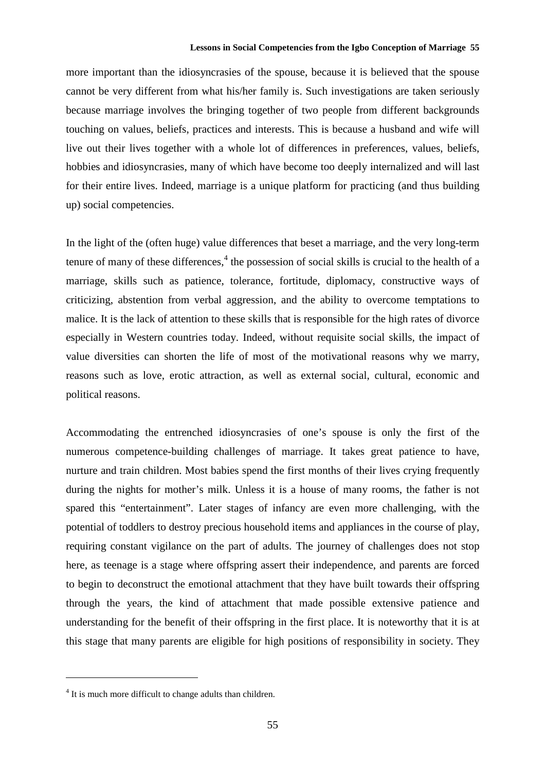#### **Lessons in Social Competencies from the Igbo Conception of Marriage 55**

more important than the idiosyncrasies of the spouse, because it is believed that the spouse cannot be very different from what his/her family is. Such investigations are taken seriously because marriage involves the bringing together of two people from different backgrounds touching on values, beliefs, practices and interests. This is because a husband and wife will live out their lives together with a whole lot of differences in preferences, values, beliefs, hobbies and idiosyncrasies, many of which have become too deeply internalized and will last for their entire lives. Indeed, marriage is a unique platform for practicing (and thus building up) social competencies.

In the light of the (often huge) value differences that beset a marriage, and the very long-term tenure of many of these differences,<sup>4</sup> the possession of social skills is crucial to the health of a marriage, skills such as patience, tolerance, fortitude, diplomacy, constructive ways of criticizing, abstention from verbal aggression, and the ability to overcome temptations to malice. It is the lack of attention to these skills that is responsible for the high rates of divorce especially in Western countries today. Indeed, without requisite social skills, the impact of value diversities can shorten the life of most of the motivational reasons why we marry, reasons such as love, erotic attraction, as well as external social, cultural, economic and political reasons.

Accommodating the entrenched idiosyncrasies of one's spouse is only the first of the numerous competence-building challenges of marriage. It takes great patience to have, nurture and train children. Most babies spend the first months of their lives crying frequently during the nights for mother's milk. Unless it is a house of many rooms, the father is not spared this "entertainment". Later stages of infancy are even more challenging, with the potential of toddlers to destroy precious household items and appliances in the course of play, requiring constant vigilance on the part of adults. The journey of challenges does not stop here, as teenage is a stage where offspring assert their independence, and parents are forced to begin to deconstruct the emotional attachment that they have built towards their offspring through the years, the kind of attachment that made possible extensive patience and understanding for the benefit of their offspring in the first place. It is noteworthy that it is at this stage that many parents are eligible for high positions of responsibility in society. They

<sup>&</sup>lt;sup>4</sup> It is much more difficult to change adults than children.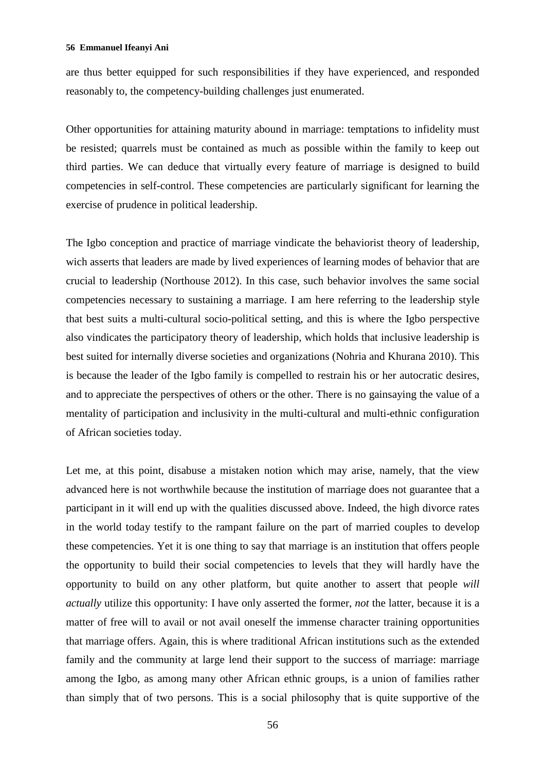#### **56 Emmanuel Ifeanyi Ani**

are thus better equipped for such responsibilities if they have experienced, and responded reasonably to, the competency-building challenges just enumerated.

Other opportunities for attaining maturity abound in marriage: temptations to infidelity must be resisted; quarrels must be contained as much as possible within the family to keep out third parties. We can deduce that virtually every feature of marriage is designed to build competencies in self-control. These competencies are particularly significant for learning the exercise of prudence in political leadership.

The Igbo conception and practice of marriage vindicate the behaviorist theory of leadership, wich asserts that leaders are made by lived experiences of learning modes of behavior that are crucial to leadership (Northouse 2012). In this case, such behavior involves the same social competencies necessary to sustaining a marriage. I am here referring to the leadership style that best suits a multi-cultural socio-political setting, and this is where the Igbo perspective also vindicates the participatory theory of leadership, which holds that inclusive leadership is best suited for internally diverse societies and organizations (Nohria and Khurana 2010). This is because the leader of the Igbo family is compelled to restrain his or her autocratic desires, and to appreciate the perspectives of others or the other. There is no gainsaying the value of a mentality of participation and inclusivity in the multi-cultural and multi-ethnic configuration of African societies today.

Let me, at this point, disabuse a mistaken notion which may arise, namely, that the view advanced here is not worthwhile because the institution of marriage does not guarantee that a participant in it will end up with the qualities discussed above. Indeed, the high divorce rates in the world today testify to the rampant failure on the part of married couples to develop these competencies. Yet it is one thing to say that marriage is an institution that offers people the opportunity to build their social competencies to levels that they will hardly have the opportunity to build on any other platform, but quite another to assert that people *will actually* utilize this opportunity: I have only asserted the former, *not* the latter, because it is a matter of free will to avail or not avail oneself the immense character training opportunities that marriage offers. Again, this is where traditional African institutions such as the extended family and the community at large lend their support to the success of marriage: marriage among the Igbo, as among many other African ethnic groups, is a union of families rather than simply that of two persons. This is a social philosophy that is quite supportive of the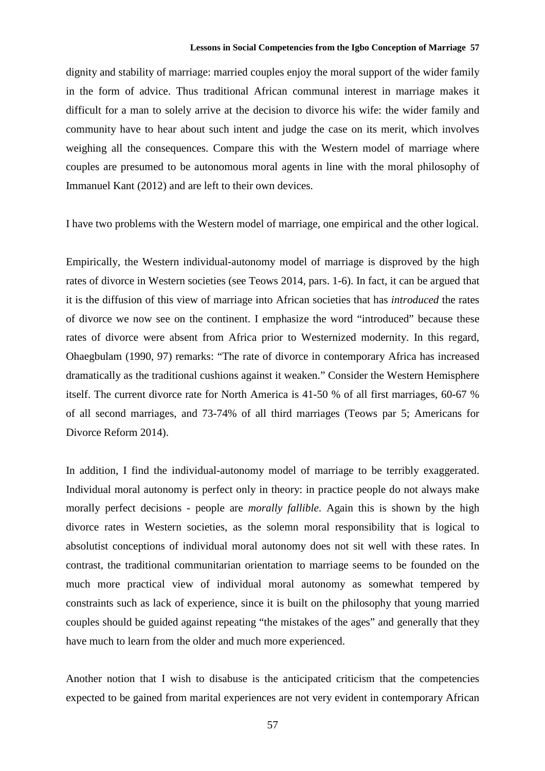#### **Lessons in Social Competencies from the Igbo Conception of Marriage 57**

dignity and stability of marriage: married couples enjoy the moral support of the wider family in the form of advice. Thus traditional African communal interest in marriage makes it difficult for a man to solely arrive at the decision to divorce his wife: the wider family and community have to hear about such intent and judge the case on its merit, which involves weighing all the consequences. Compare this with the Western model of marriage where couples are presumed to be autonomous moral agents in line with the moral philosophy of Immanuel Kant (2012) and are left to their own devices.

I have two problems with the Western model of marriage, one empirical and the other logical.

Empirically, the Western individual-autonomy model of marriage is disproved by the high rates of divorce in Western societies (see Teows 2014, pars. 1-6). In fact, it can be argued that it is the diffusion of this view of marriage into African societies that has *introduced* the rates of divorce we now see on the continent. I emphasize the word "introduced" because these rates of divorce were absent from Africa prior to Westernized modernity. In this regard, Ohaegbulam (1990, 97) remarks: "The rate of divorce in contemporary Africa has increased dramatically as the traditional cushions against it weaken." Consider the Western Hemisphere itself. The current divorce rate for North America is 41-50 % of all first marriages, 60-67 % of all second marriages, and 73-74% of all third marriages (Teows par 5; Americans for Divorce Reform 2014).

In addition, I find the individual-autonomy model of marriage to be terribly exaggerated. Individual moral autonomy is perfect only in theory: in practice people do not always make morally perfect decisions - people are *morally fallible*. Again this is shown by the high divorce rates in Western societies, as the solemn moral responsibility that is logical to absolutist conceptions of individual moral autonomy does not sit well with these rates. In contrast, the traditional communitarian orientation to marriage seems to be founded on the much more practical view of individual moral autonomy as somewhat tempered by constraints such as lack of experience, since it is built on the philosophy that young married couples should be guided against repeating "the mistakes of the ages" and generally that they have much to learn from the older and much more experienced.

Another notion that I wish to disabuse is the anticipated criticism that the competencies expected to be gained from marital experiences are not very evident in contemporary African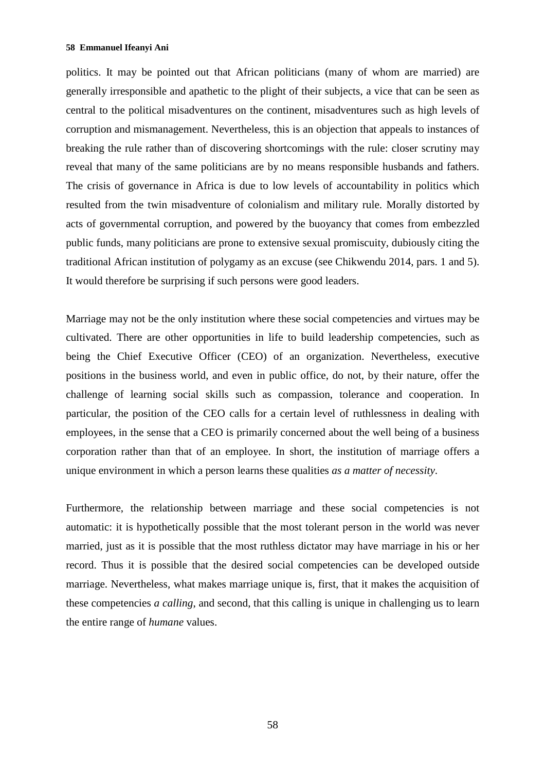#### **58 Emmanuel Ifeanyi Ani**

politics. It may be pointed out that African politicians (many of whom are married) are generally irresponsible and apathetic to the plight of their subjects, a vice that can be seen as central to the political misadventures on the continent, misadventures such as high levels of corruption and mismanagement. Nevertheless, this is an objection that appeals to instances of breaking the rule rather than of discovering shortcomings with the rule: closer scrutiny may reveal that many of the same politicians are by no means responsible husbands and fathers. The crisis of governance in Africa is due to low levels of accountability in politics which resulted from the twin misadventure of colonialism and military rule. Morally distorted by acts of governmental corruption, and powered by the buoyancy that comes from embezzled public funds, many politicians are prone to extensive sexual promiscuity, dubiously citing the traditional African institution of polygamy as an excuse (see Chikwendu 2014, pars. 1 and 5). It would therefore be surprising if such persons were good leaders.

Marriage may not be the only institution where these social competencies and virtues may be cultivated. There are other opportunities in life to build leadership competencies, such as being the Chief Executive Officer (CEO) of an organization. Nevertheless, executive positions in the business world, and even in public office, do not, by their nature, offer the challenge of learning social skills such as compassion, tolerance and cooperation. In particular, the position of the CEO calls for a certain level of ruthlessness in dealing with employees, in the sense that a CEO is primarily concerned about the well being of a business corporation rather than that of an employee. In short, the institution of marriage offers a unique environment in which a person learns these qualities *as a matter of necessity*.

Furthermore, the relationship between marriage and these social competencies is not automatic: it is hypothetically possible that the most tolerant person in the world was never married, just as it is possible that the most ruthless dictator may have marriage in his or her record. Thus it is possible that the desired social competencies can be developed outside marriage. Nevertheless, what makes marriage unique is, first, that it makes the acquisition of these competencies *a calling*, and second, that this calling is unique in challenging us to learn the entire range of *humane* values.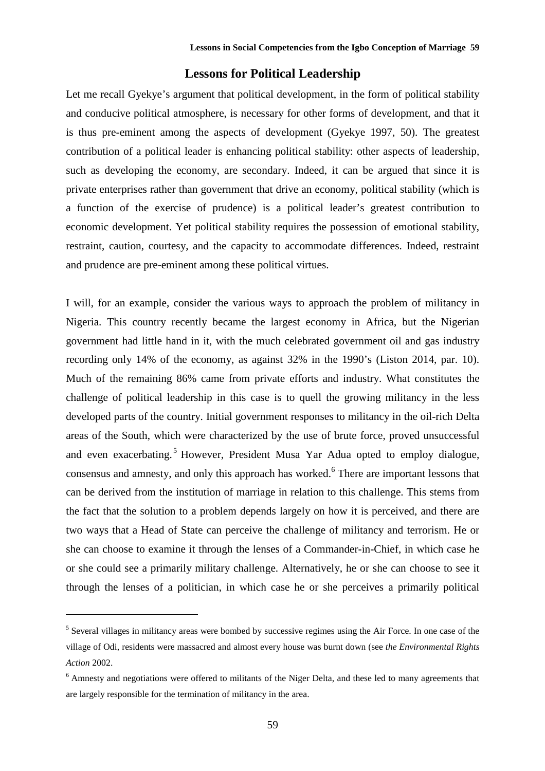## **Lessons for Political Leadership**

Let me recall Gyekye's argument that political development, in the form of political stability and conducive political atmosphere, is necessary for other forms of development, and that it is thus pre-eminent among the aspects of development (Gyekye 1997, 50). The greatest contribution of a political leader is enhancing political stability: other aspects of leadership, such as developing the economy, are secondary. Indeed, it can be argued that since it is private enterprises rather than government that drive an economy, political stability (which is a function of the exercise of prudence) is a political leader's greatest contribution to economic development. Yet political stability requires the possession of emotional stability, restraint, caution, courtesy, and the capacity to accommodate differences. Indeed, restraint and prudence are pre-eminent among these political virtues.

I will, for an example, consider the various ways to approach the problem of militancy in Nigeria. This country recently became the largest economy in Africa, but the Nigerian government had little hand in it, with the much celebrated government oil and gas industry recording only 14% of the economy, as against 32% in the 1990's (Liston 2014, par. 10). Much of the remaining 86% came from private efforts and industry. What constitutes the challenge of political leadership in this case is to quell the growing militancy in the less developed parts of the country. Initial government responses to militancy in the oil-rich Delta areas of the South, which were characterized by the use of brute force, proved unsuccessful and even exacerbating.<sup>5</sup> However, President Musa Yar Adua opted to employ dialogue, consensus and amnesty, and only this approach has worked.<sup>6</sup> There are important lessons that can be derived from the institution of marriage in relation to this challenge. This stems from the fact that the solution to a problem depends largely on how it is perceived, and there are two ways that a Head of State can perceive the challenge of militancy and terrorism. He or she can choose to examine it through the lenses of a Commander-in-Chief, in which case he or she could see a primarily military challenge. Alternatively, he or she can choose to see it through the lenses of a politician, in which case he or she perceives a primarily political

<sup>&</sup>lt;sup>5</sup> Several villages in militancy areas were bombed by successive regimes using the Air Force. In one case of the village of Odi, residents were massacred and almost every house was burnt down (see *the Environmental Rights Action* 2002.

<sup>&</sup>lt;sup>6</sup> Amnesty and negotiations were offered to militants of the Niger Delta, and these led to many agreements that are largely responsible for the termination of militancy in the area.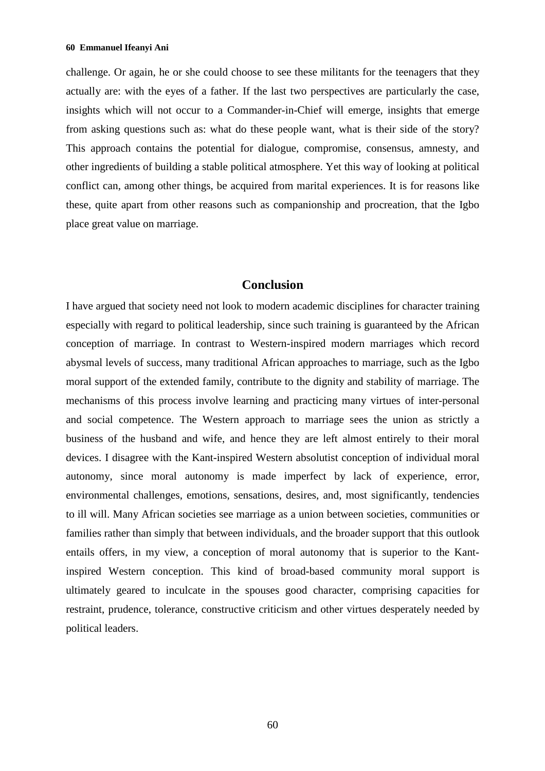challenge. Or again, he or she could choose to see these militants for the teenagers that they actually are: with the eyes of a father. If the last two perspectives are particularly the case, insights which will not occur to a Commander-in-Chief will emerge, insights that emerge from asking questions such as: what do these people want, what is their side of the story? This approach contains the potential for dialogue, compromise, consensus, amnesty, and other ingredients of building a stable political atmosphere. Yet this way of looking at political conflict can, among other things, be acquired from marital experiences. It is for reasons like these, quite apart from other reasons such as companionship and procreation, that the Igbo place great value on marriage.

## **Conclusion**

I have argued that society need not look to modern academic disciplines for character training especially with regard to political leadership, since such training is guaranteed by the African conception of marriage. In contrast to Western-inspired modern marriages which record abysmal levels of success, many traditional African approaches to marriage, such as the Igbo moral support of the extended family, contribute to the dignity and stability of marriage. The mechanisms of this process involve learning and practicing many virtues of inter-personal and social competence. The Western approach to marriage sees the union as strictly a business of the husband and wife, and hence they are left almost entirely to their moral devices. I disagree with the Kant-inspired Western absolutist conception of individual moral autonomy, since moral autonomy is made imperfect by lack of experience, error, environmental challenges, emotions, sensations, desires, and, most significantly, tendencies to ill will. Many African societies see marriage as a union between societies, communities or families rather than simply that between individuals, and the broader support that this outlook entails offers, in my view, a conception of moral autonomy that is superior to the Kantinspired Western conception. This kind of broad-based community moral support is ultimately geared to inculcate in the spouses good character, comprising capacities for restraint, prudence, tolerance, constructive criticism and other virtues desperately needed by political leaders.